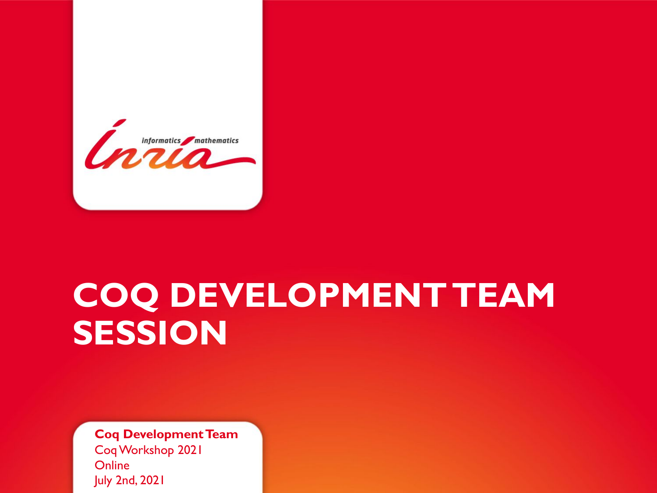

# **COQ DEVELOPMENT TEAM SESSION**

**Coq Development Team** Coq Workshop 2021 **Online** July 2nd, 2021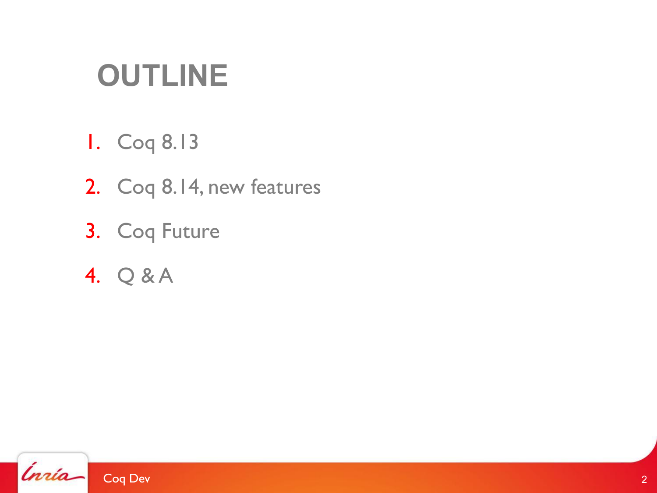# **OUTLINE**

- 1. Coq 8.13
- 2. Coq 8.14, new features
- 3. Coq Future
- 4. Q & A

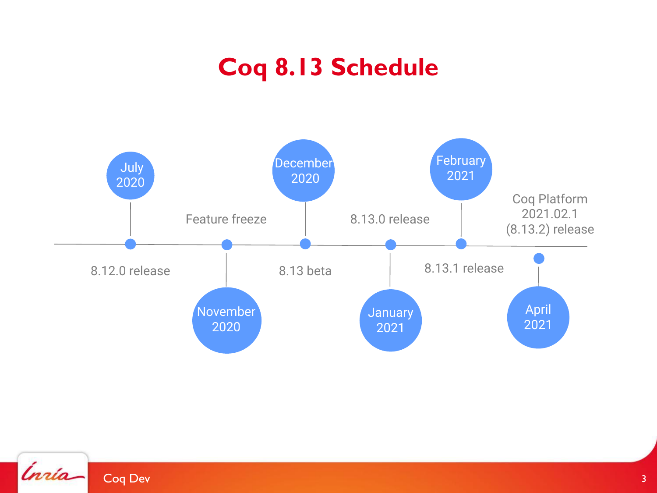### **Coq 8.13 Schedule**



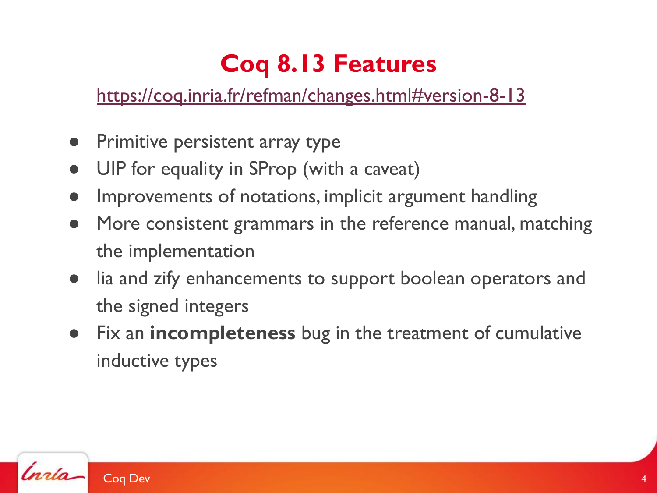### **Coq 8.13 Features**

<https://coq.inria.fr/refman/changes.html#version-8-13>

- **•** Primitive persistent array type
- UIP for equality in SProp (with a caveat)
- Improvements of notations, implicit argument handling
- More consistent grammars in the reference manual, matching the implementation
- lia and zify enhancements to support boolean operators and the signed integers
- Fix an **incompleteness** bug in the treatment of cumulative inductive types

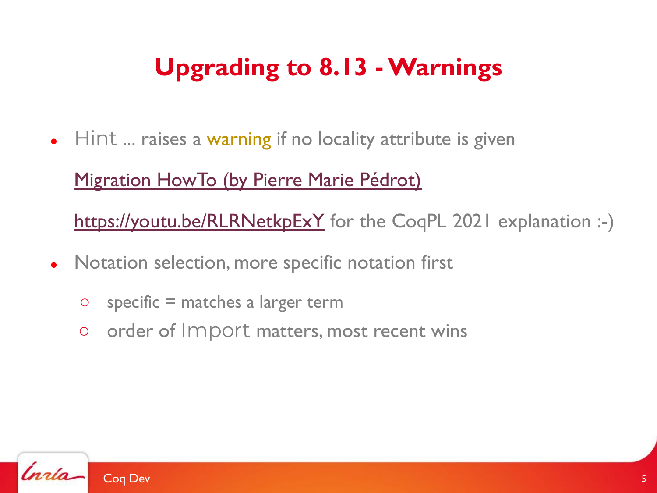# **Upgrading to 8.13 - Warnings**

 $\bullet$  Hint ... raises a warning if no locality attribute is given

#### [Migration HowTo \(by Pierre Marie Pédrot\)](https://coq.discourse.group/t/change-of-default-locality-for-hint-commands-in-coq-8-13/1140)

<https://youtu.be/RLRNetkpExY>for the CoqPL 2021 explanation :-)

- Notation selection, more specific notation first
	- $\circ$  specific = matches a larger term
	- order of Import matters, most recent wins

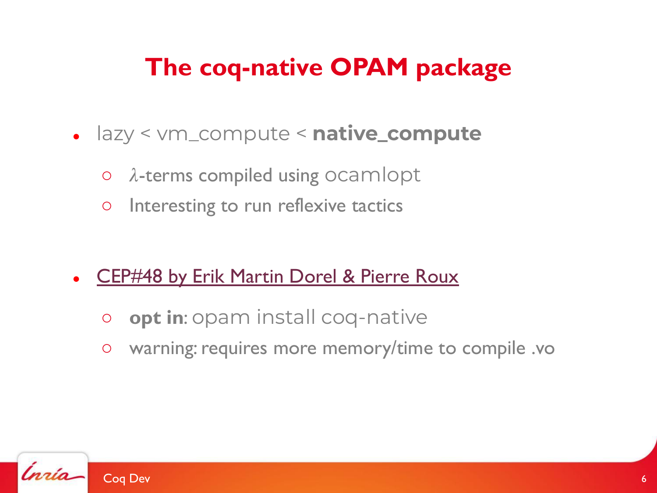### **The coq-native OPAM package**

- lazy < vm\_compute < **native\_compute**
	- $\circ$   $\lambda$ -terms compiled using ocamlopt
	- Interesting to run reflexive tactics
- **[CEP#48 by Erik Martin Dorel & Pierre Roux](https://github.com/coq/ceps/blob/master/text/048-packaging-coq-native.md)** 
	- **opt in**: opam install coq-native
	- warning: requires more memory/time to compile .vo

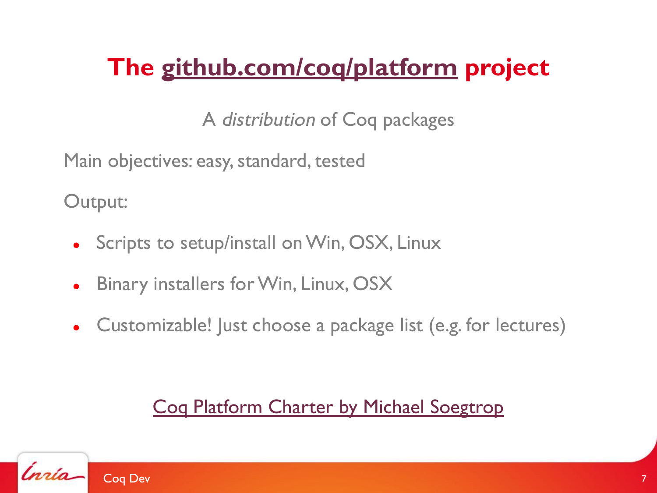## **The [github.com/coq/platform](https://github.com/coq/platform) project**

A distribution of Coq packages

Main objectives: easy, standard, tested

Output:

- Scripts to setup/install on Win, OSX, Linux
- Binary installers for Win, Linux, OSX
- Customizable! Just choose a package list (e.g. for lectures)

#### [Coq Platform Charter by Michael Soegtrop](https://github.com/coq/platform/blob/master/charter.md)

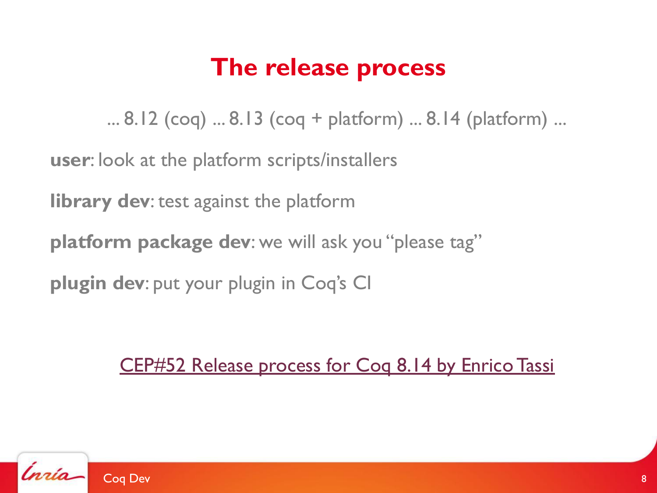### **The release process**

... 8.12 (coq) ... 8.13 (coq + platform) ... 8.14 (platform) ...

**user**: look at the platform scripts/installers

**library dev**: test against the platform

**platform package dev**: we will ask you "please tag"

**plugin dev**: put your plugin in Coq's CI

[CEP#52 Release process for Coq 8.14 by Enrico Tassi](https://github.com/coq/ceps/pull/52)

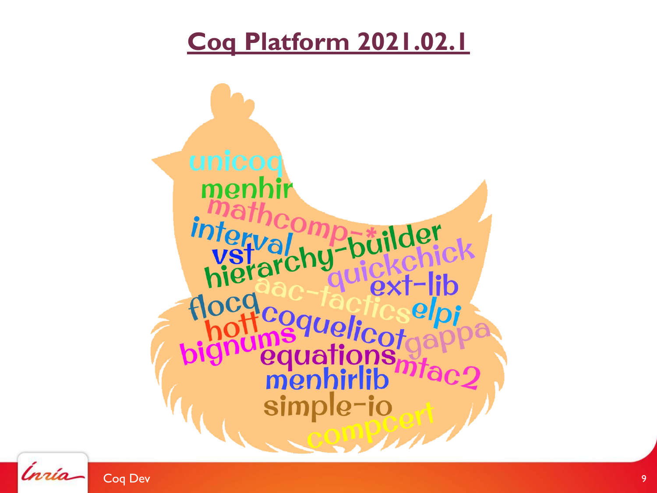### **[Coq Platform 2021.02.1](https://github.com/coq/platform#features-of-the-2021021-release)**



Ínría-Coq Dev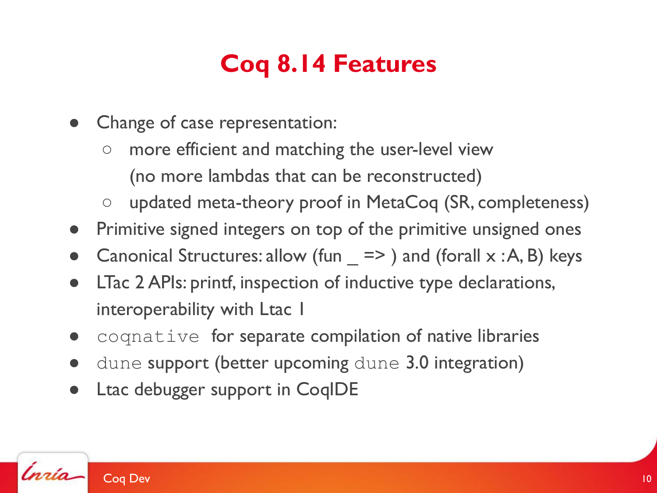## **Coq 8.14 Features**

- Change of case representation:
	- more efficient and matching the user-level view (no more lambdas that can be reconstructed)
	- updated meta-theory proof in MetaCoq (SR, completeness)
- Primitive signed integers on top of the primitive unsigned ones
- Canonical Structures: allow (fun  $\equiv$   $\ge$  ) and (forall  $\times$  :A, B) keys
- LTac 2 APIs: printf, inspection of inductive type declarations, interoperability with Ltac I
- coqnative for separate compilation of native libraries
- dune support (better upcoming dune 3.0 integration)
- Ltac debugger support in CoqIDE

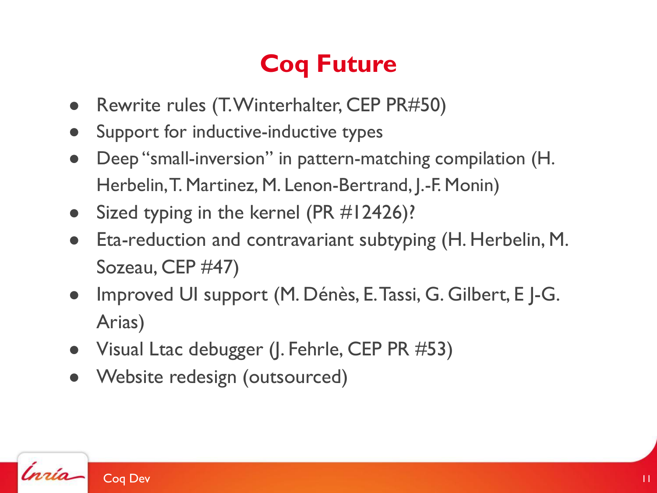# **Coq Future**

- Rewrite rules (T. Winterhalter, CEP PR#50)
- Support for inductive-inductive types
- Deep "small-inversion" in pattern-matching compilation (H. Herbelin, T. Martinez, M. Lenon-Bertrand, J.-F. Monin)
- Sized typing in the kernel (PR  $#12426$ )?
- Eta-reduction and contravariant subtyping (H. Herbelin, M. Sozeau, CEP #47)
- Improved UI support (M. Dénès, E. Tassi, G. Gilbert, E J-G. Arias)
- Visual Ltac debugger (J. Fehrle, CEP PR #53)
- Website redesign (outsourced)

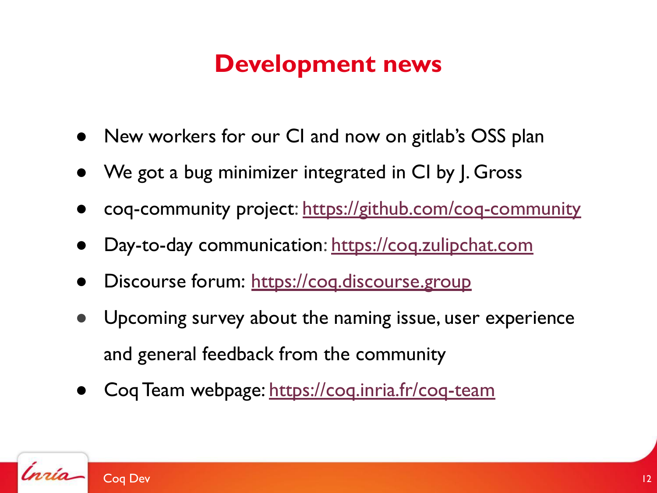### **Development news**

- New workers for our CI and now on gitlab's OSS plan
- We got a bug minimizer integrated in CI by J. Gross
- coq-community project:<https://github.com/coq-community>
- Day-to-day communication: <https://coq.zulipchat.com>
- Discourse forum: https://cog.discourse.group
- Upcoming survey about the naming issue, user experience and general feedback from the community
- Coq Team webpage: <https://coq.inria.fr/coq-team>